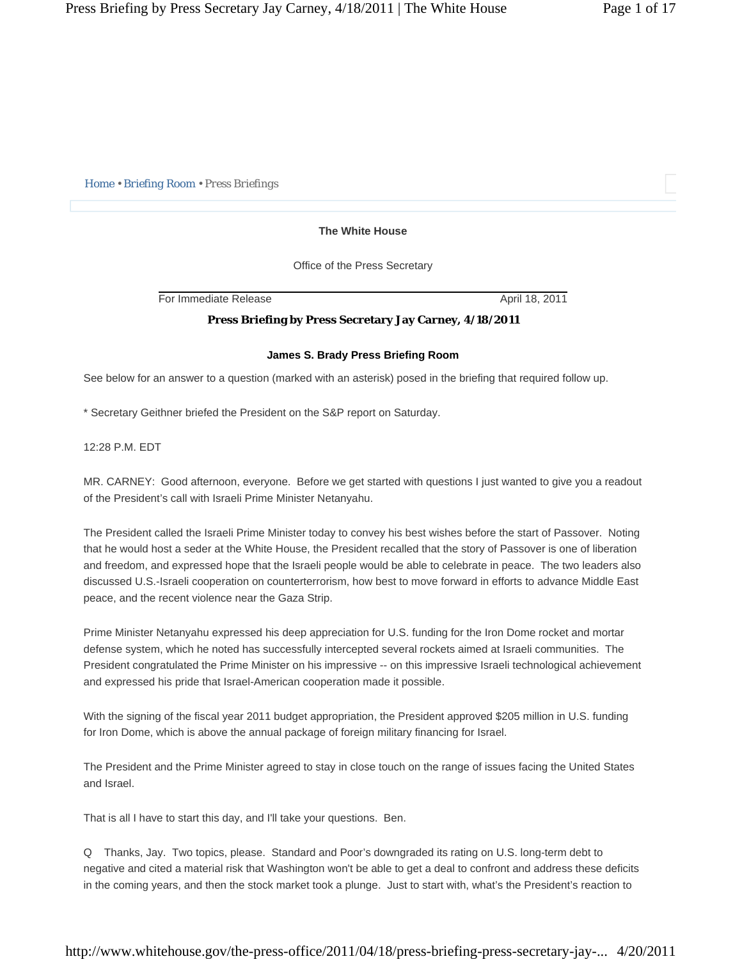*Home • Briefing Room • Press Briefings* 

## **The White House**

Office of the Press Secretary

For Immediate Release April 18, 2011

## **Press Briefing by Press Secretary Jay Carney, 4/18/2011**

## **James S. Brady Press Briefing Room**

See below for an answer to a question (marked with an asterisk) posed in the briefing that required follow up.

\* Secretary Geithner briefed the President on the S&P report on Saturday.

12:28 P.M. EDT

MR. CARNEY: Good afternoon, everyone. Before we get started with questions I just wanted to give you a readout of the President's call with Israeli Prime Minister Netanyahu.

The President called the Israeli Prime Minister today to convey his best wishes before the start of Passover. Noting that he would host a seder at the White House, the President recalled that the story of Passover is one of liberation and freedom, and expressed hope that the Israeli people would be able to celebrate in peace. The two leaders also discussed U.S.-Israeli cooperation on counterterrorism, how best to move forward in efforts to advance Middle East peace, and the recent violence near the Gaza Strip.

Prime Minister Netanyahu expressed his deep appreciation for U.S. funding for the Iron Dome rocket and mortar defense system, which he noted has successfully intercepted several rockets aimed at Israeli communities. The President congratulated the Prime Minister on his impressive -- on this impressive Israeli technological achievement and expressed his pride that Israel-American cooperation made it possible.

With the signing of the fiscal year 2011 budget appropriation, the President approved \$205 million in U.S. funding for Iron Dome, which is above the annual package of foreign military financing for Israel.

The President and the Prime Minister agreed to stay in close touch on the range of issues facing the United States and Israel.

That is all I have to start this day, and I'll take your questions. Ben.

Q Thanks, Jay. Two topics, please. Standard and Poor's downgraded its rating on U.S. long-term debt to negative and cited a material risk that Washington won't be able to get a deal to confront and address these deficits in the coming years, and then the stock market took a plunge. Just to start with, what's the President's reaction to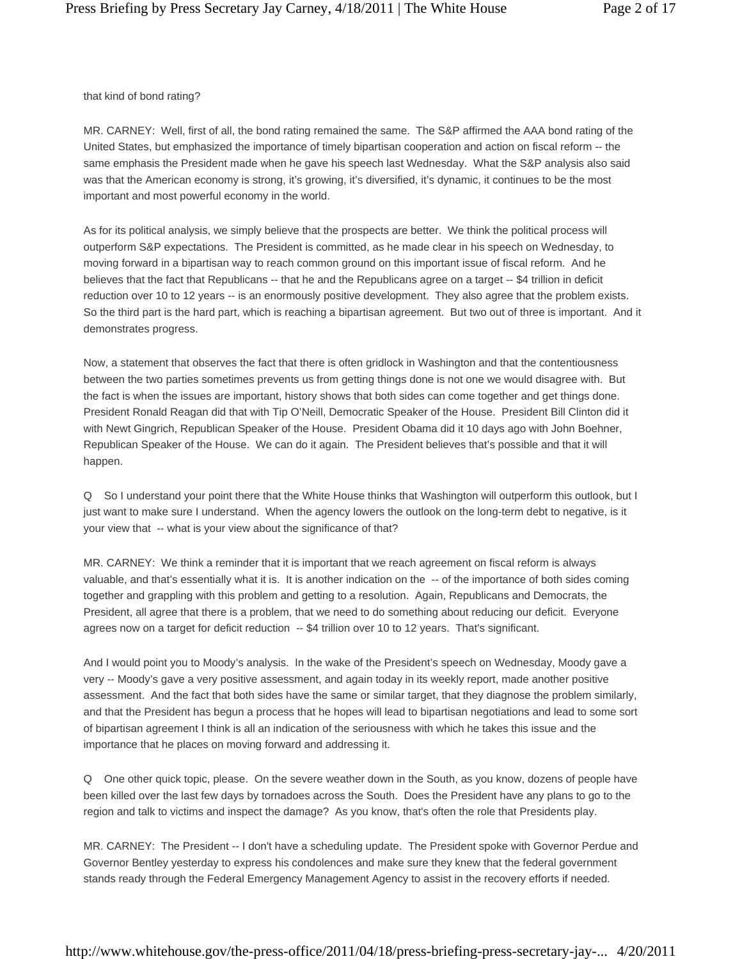that kind of bond rating?

MR. CARNEY: Well, first of all, the bond rating remained the same. The S&P affirmed the AAA bond rating of the United States, but emphasized the importance of timely bipartisan cooperation and action on fiscal reform -- the same emphasis the President made when he gave his speech last Wednesday. What the S&P analysis also said was that the American economy is strong, it's growing, it's diversified, it's dynamic, it continues to be the most important and most powerful economy in the world.

As for its political analysis, we simply believe that the prospects are better. We think the political process will outperform S&P expectations. The President is committed, as he made clear in his speech on Wednesday, to moving forward in a bipartisan way to reach common ground on this important issue of fiscal reform. And he believes that the fact that Republicans -- that he and the Republicans agree on a target -- \$4 trillion in deficit reduction over 10 to 12 years -- is an enormously positive development. They also agree that the problem exists. So the third part is the hard part, which is reaching a bipartisan agreement. But two out of three is important. And it demonstrates progress.

Now, a statement that observes the fact that there is often gridlock in Washington and that the contentiousness between the two parties sometimes prevents us from getting things done is not one we would disagree with. But the fact is when the issues are important, history shows that both sides can come together and get things done. President Ronald Reagan did that with Tip O'Neill, Democratic Speaker of the House. President Bill Clinton did it with Newt Gingrich, Republican Speaker of the House. President Obama did it 10 days ago with John Boehner, Republican Speaker of the House. We can do it again. The President believes that's possible and that it will happen.

Q So I understand your point there that the White House thinks that Washington will outperform this outlook, but I just want to make sure I understand. When the agency lowers the outlook on the long-term debt to negative, is it your view that -- what is your view about the significance of that?

MR. CARNEY: We think a reminder that it is important that we reach agreement on fiscal reform is always valuable, and that's essentially what it is. It is another indication on the -- of the importance of both sides coming together and grappling with this problem and getting to a resolution. Again, Republicans and Democrats, the President, all agree that there is a problem, that we need to do something about reducing our deficit. Everyone agrees now on a target for deficit reduction -- \$4 trillion over 10 to 12 years. That's significant.

And I would point you to Moody's analysis. In the wake of the President's speech on Wednesday, Moody gave a very -- Moody's gave a very positive assessment, and again today in its weekly report, made another positive assessment. And the fact that both sides have the same or similar target, that they diagnose the problem similarly, and that the President has begun a process that he hopes will lead to bipartisan negotiations and lead to some sort of bipartisan agreement I think is all an indication of the seriousness with which he takes this issue and the importance that he places on moving forward and addressing it.

Q One other quick topic, please. On the severe weather down in the South, as you know, dozens of people have been killed over the last few days by tornadoes across the South. Does the President have any plans to go to the region and talk to victims and inspect the damage? As you know, that's often the role that Presidents play.

MR. CARNEY: The President -- I don't have a scheduling update. The President spoke with Governor Perdue and Governor Bentley yesterday to express his condolences and make sure they knew that the federal government stands ready through the Federal Emergency Management Agency to assist in the recovery efforts if needed.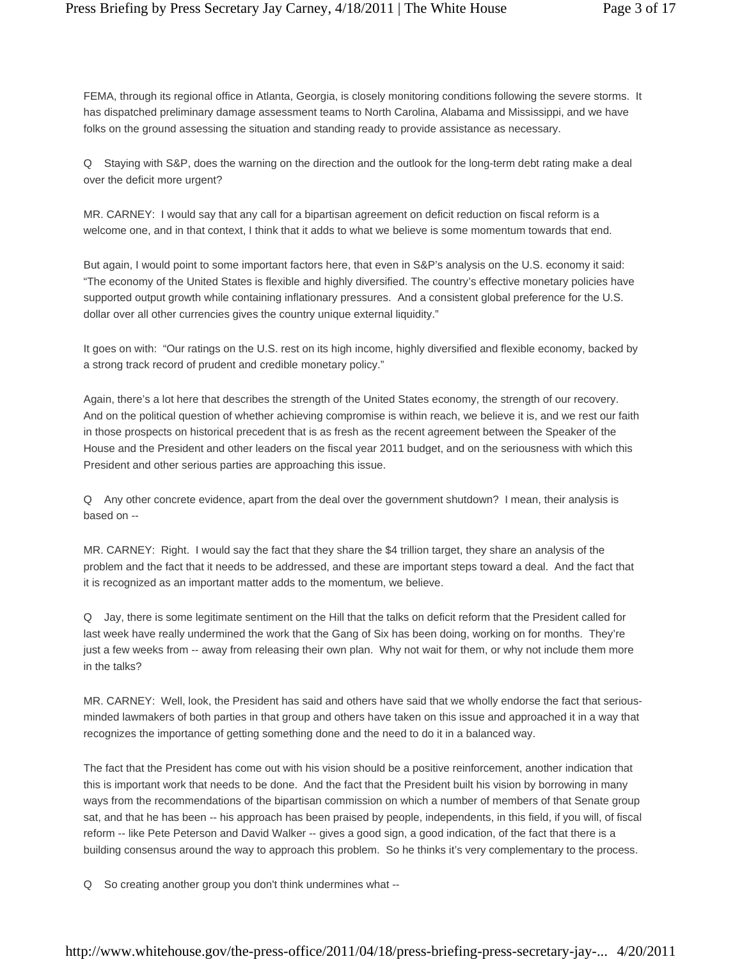FEMA, through its regional office in Atlanta, Georgia, is closely monitoring conditions following the severe storms. It has dispatched preliminary damage assessment teams to North Carolina, Alabama and Mississippi, and we have folks on the ground assessing the situation and standing ready to provide assistance as necessary.

Q Staying with S&P, does the warning on the direction and the outlook for the long-term debt rating make a deal over the deficit more urgent?

MR. CARNEY: I would say that any call for a bipartisan agreement on deficit reduction on fiscal reform is a welcome one, and in that context, I think that it adds to what we believe is some momentum towards that end.

But again, I would point to some important factors here, that even in S&P's analysis on the U.S. economy it said: "The economy of the United States is flexible and highly diversified. The country's effective monetary policies have supported output growth while containing inflationary pressures. And a consistent global preference for the U.S. dollar over all other currencies gives the country unique external liquidity."

It goes on with: "Our ratings on the U.S. rest on its high income, highly diversified and flexible economy, backed by a strong track record of prudent and credible monetary policy."

Again, there's a lot here that describes the strength of the United States economy, the strength of our recovery. And on the political question of whether achieving compromise is within reach, we believe it is, and we rest our faith in those prospects on historical precedent that is as fresh as the recent agreement between the Speaker of the House and the President and other leaders on the fiscal year 2011 budget, and on the seriousness with which this President and other serious parties are approaching this issue.

Q Any other concrete evidence, apart from the deal over the government shutdown? I mean, their analysis is based on --

MR. CARNEY: Right. I would say the fact that they share the \$4 trillion target, they share an analysis of the problem and the fact that it needs to be addressed, and these are important steps toward a deal. And the fact that it is recognized as an important matter adds to the momentum, we believe.

Q Jay, there is some legitimate sentiment on the Hill that the talks on deficit reform that the President called for last week have really undermined the work that the Gang of Six has been doing, working on for months. They're just a few weeks from -- away from releasing their own plan. Why not wait for them, or why not include them more in the talks?

MR. CARNEY: Well, look, the President has said and others have said that we wholly endorse the fact that seriousminded lawmakers of both parties in that group and others have taken on this issue and approached it in a way that recognizes the importance of getting something done and the need to do it in a balanced way.

The fact that the President has come out with his vision should be a positive reinforcement, another indication that this is important work that needs to be done. And the fact that the President built his vision by borrowing in many ways from the recommendations of the bipartisan commission on which a number of members of that Senate group sat, and that he has been -- his approach has been praised by people, independents, in this field, if you will, of fiscal reform -- like Pete Peterson and David Walker -- gives a good sign, a good indication, of the fact that there is a building consensus around the way to approach this problem. So he thinks it's very complementary to the process.

Q So creating another group you don't think undermines what --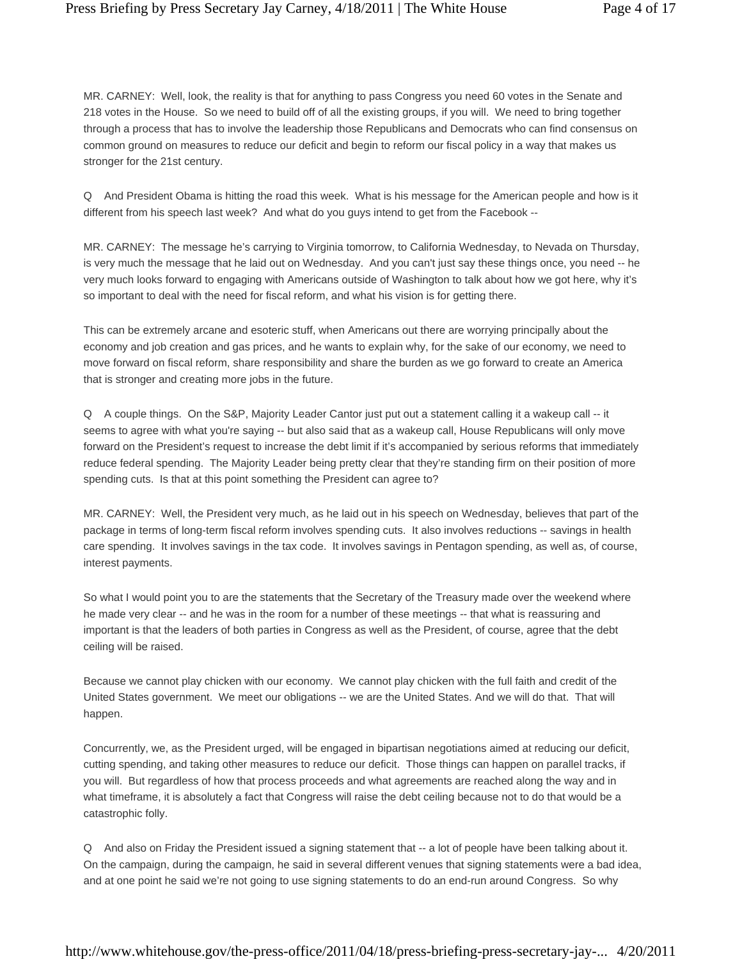MR. CARNEY: Well, look, the reality is that for anything to pass Congress you need 60 votes in the Senate and 218 votes in the House. So we need to build off of all the existing groups, if you will. We need to bring together through a process that has to involve the leadership those Republicans and Democrats who can find consensus on common ground on measures to reduce our deficit and begin to reform our fiscal policy in a way that makes us stronger for the 21st century.

Q And President Obama is hitting the road this week. What is his message for the American people and how is it different from his speech last week? And what do you guys intend to get from the Facebook --

MR. CARNEY: The message he's carrying to Virginia tomorrow, to California Wednesday, to Nevada on Thursday, is very much the message that he laid out on Wednesday. And you can't just say these things once, you need -- he very much looks forward to engaging with Americans outside of Washington to talk about how we got here, why it's so important to deal with the need for fiscal reform, and what his vision is for getting there.

This can be extremely arcane and esoteric stuff, when Americans out there are worrying principally about the economy and job creation and gas prices, and he wants to explain why, for the sake of our economy, we need to move forward on fiscal reform, share responsibility and share the burden as we go forward to create an America that is stronger and creating more jobs in the future.

Q A couple things. On the S&P, Majority Leader Cantor just put out a statement calling it a wakeup call -- it seems to agree with what you're saying -- but also said that as a wakeup call, House Republicans will only move forward on the President's request to increase the debt limit if it's accompanied by serious reforms that immediately reduce federal spending. The Majority Leader being pretty clear that they're standing firm on their position of more spending cuts. Is that at this point something the President can agree to?

MR. CARNEY: Well, the President very much, as he laid out in his speech on Wednesday, believes that part of the package in terms of long-term fiscal reform involves spending cuts. It also involves reductions -- savings in health care spending. It involves savings in the tax code. It involves savings in Pentagon spending, as well as, of course, interest payments.

So what I would point you to are the statements that the Secretary of the Treasury made over the weekend where he made very clear -- and he was in the room for a number of these meetings -- that what is reassuring and important is that the leaders of both parties in Congress as well as the President, of course, agree that the debt ceiling will be raised.

Because we cannot play chicken with our economy. We cannot play chicken with the full faith and credit of the United States government. We meet our obligations -- we are the United States. And we will do that. That will happen.

Concurrently, we, as the President urged, will be engaged in bipartisan negotiations aimed at reducing our deficit, cutting spending, and taking other measures to reduce our deficit. Those things can happen on parallel tracks, if you will. But regardless of how that process proceeds and what agreements are reached along the way and in what timeframe, it is absolutely a fact that Congress will raise the debt ceiling because not to do that would be a catastrophic folly.

Q And also on Friday the President issued a signing statement that -- a lot of people have been talking about it. On the campaign, during the campaign, he said in several different venues that signing statements were a bad idea, and at one point he said we're not going to use signing statements to do an end-run around Congress. So why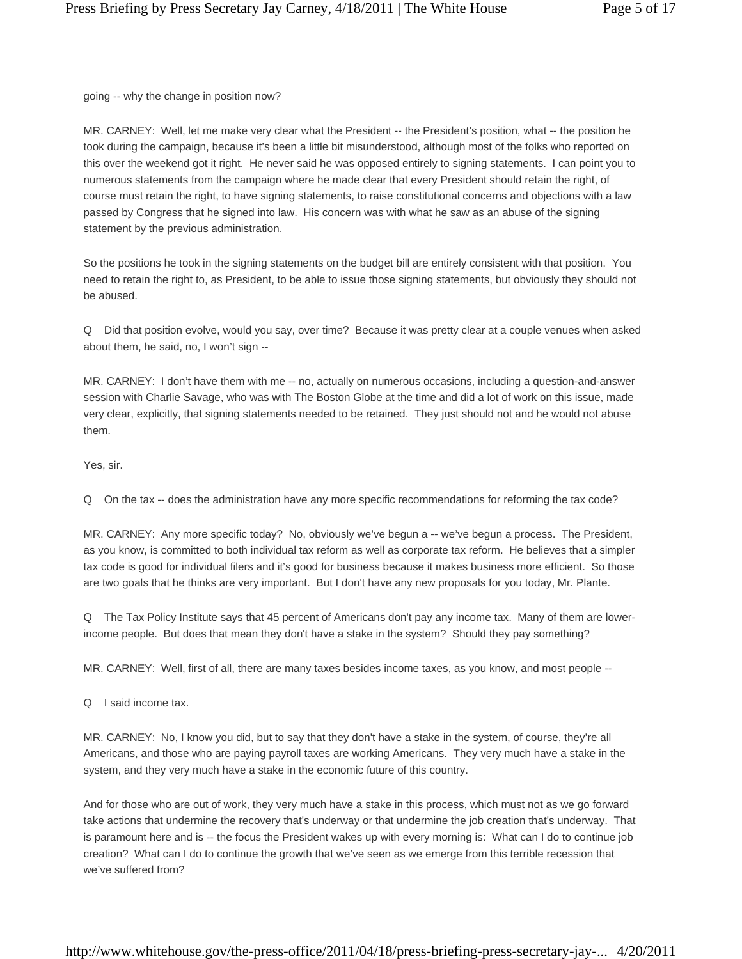going -- why the change in position now?

MR. CARNEY: Well, let me make very clear what the President -- the President's position, what -- the position he took during the campaign, because it's been a little bit misunderstood, although most of the folks who reported on this over the weekend got it right. He never said he was opposed entirely to signing statements. I can point you to numerous statements from the campaign where he made clear that every President should retain the right, of course must retain the right, to have signing statements, to raise constitutional concerns and objections with a law passed by Congress that he signed into law. His concern was with what he saw as an abuse of the signing statement by the previous administration.

So the positions he took in the signing statements on the budget bill are entirely consistent with that position. You need to retain the right to, as President, to be able to issue those signing statements, but obviously they should not be abused.

Q Did that position evolve, would you say, over time? Because it was pretty clear at a couple venues when asked about them, he said, no, I won't sign --

MR. CARNEY: I don't have them with me -- no, actually on numerous occasions, including a question-and-answer session with Charlie Savage, who was with The Boston Globe at the time and did a lot of work on this issue, made very clear, explicitly, that signing statements needed to be retained. They just should not and he would not abuse them.

Yes, sir.

Q On the tax -- does the administration have any more specific recommendations for reforming the tax code?

MR. CARNEY: Any more specific today? No, obviously we've begun a -- we've begun a process. The President, as you know, is committed to both individual tax reform as well as corporate tax reform. He believes that a simpler tax code is good for individual filers and it's good for business because it makes business more efficient. So those are two goals that he thinks are very important. But I don't have any new proposals for you today, Mr. Plante.

Q The Tax Policy Institute says that 45 percent of Americans don't pay any income tax. Many of them are lowerincome people. But does that mean they don't have a stake in the system? Should they pay something?

MR. CARNEY: Well, first of all, there are many taxes besides income taxes, as you know, and most people --

Q I said income tax.

MR. CARNEY: No, I know you did, but to say that they don't have a stake in the system, of course, they're all Americans, and those who are paying payroll taxes are working Americans. They very much have a stake in the system, and they very much have a stake in the economic future of this country.

And for those who are out of work, they very much have a stake in this process, which must not as we go forward take actions that undermine the recovery that's underway or that undermine the job creation that's underway. That is paramount here and is -- the focus the President wakes up with every morning is: What can I do to continue job creation? What can I do to continue the growth that we've seen as we emerge from this terrible recession that we've suffered from?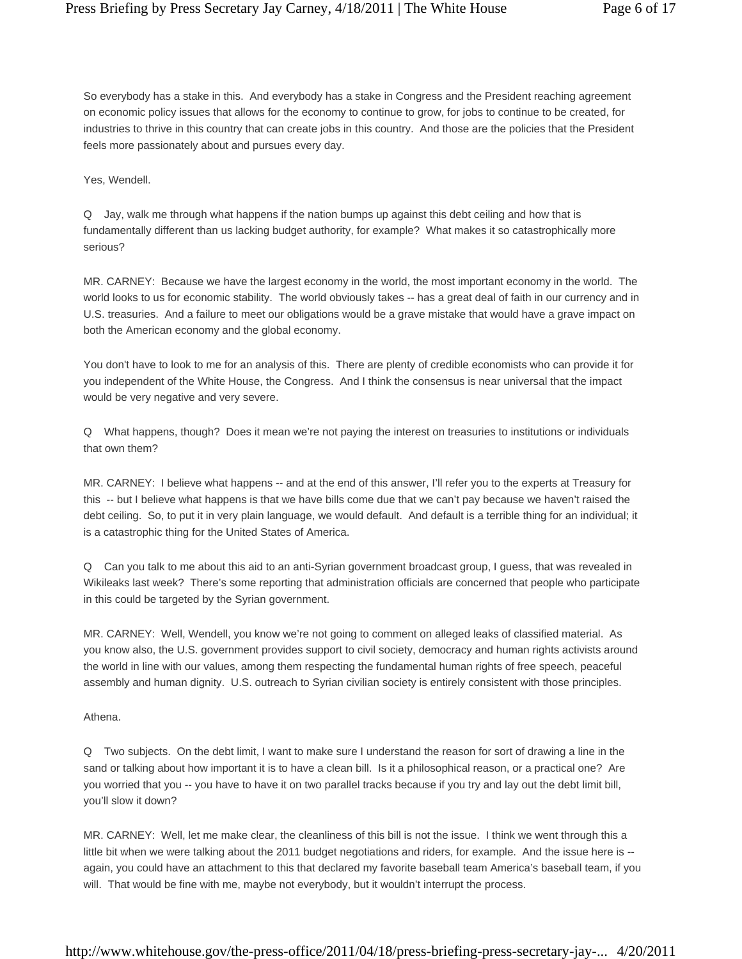So everybody has a stake in this. And everybody has a stake in Congress and the President reaching agreement on economic policy issues that allows for the economy to continue to grow, for jobs to continue to be created, for industries to thrive in this country that can create jobs in this country. And those are the policies that the President feels more passionately about and pursues every day.

Yes, Wendell.

Q Jay, walk me through what happens if the nation bumps up against this debt ceiling and how that is fundamentally different than us lacking budget authority, for example? What makes it so catastrophically more serious?

MR. CARNEY: Because we have the largest economy in the world, the most important economy in the world. The world looks to us for economic stability. The world obviously takes -- has a great deal of faith in our currency and in U.S. treasuries. And a failure to meet our obligations would be a grave mistake that would have a grave impact on both the American economy and the global economy.

You don't have to look to me for an analysis of this. There are plenty of credible economists who can provide it for you independent of the White House, the Congress. And I think the consensus is near universal that the impact would be very negative and very severe.

Q What happens, though? Does it mean we're not paying the interest on treasuries to institutions or individuals that own them?

MR. CARNEY: I believe what happens -- and at the end of this answer, I'll refer you to the experts at Treasury for this -- but I believe what happens is that we have bills come due that we can't pay because we haven't raised the debt ceiling. So, to put it in very plain language, we would default. And default is a terrible thing for an individual; it is a catastrophic thing for the United States of America.

Q Can you talk to me about this aid to an anti-Syrian government broadcast group, I guess, that was revealed in Wikileaks last week? There's some reporting that administration officials are concerned that people who participate in this could be targeted by the Syrian government.

MR. CARNEY: Well, Wendell, you know we're not going to comment on alleged leaks of classified material. As you know also, the U.S. government provides support to civil society, democracy and human rights activists around the world in line with our values, among them respecting the fundamental human rights of free speech, peaceful assembly and human dignity. U.S. outreach to Syrian civilian society is entirely consistent with those principles.

Athena.

Q Two subjects. On the debt limit, I want to make sure I understand the reason for sort of drawing a line in the sand or talking about how important it is to have a clean bill. Is it a philosophical reason, or a practical one? Are you worried that you -- you have to have it on two parallel tracks because if you try and lay out the debt limit bill, you'll slow it down?

MR. CARNEY: Well, let me make clear, the cleanliness of this bill is not the issue. I think we went through this a little bit when we were talking about the 2011 budget negotiations and riders, for example. And the issue here is - again, you could have an attachment to this that declared my favorite baseball team America's baseball team, if you will. That would be fine with me, maybe not everybody, but it wouldn't interrupt the process.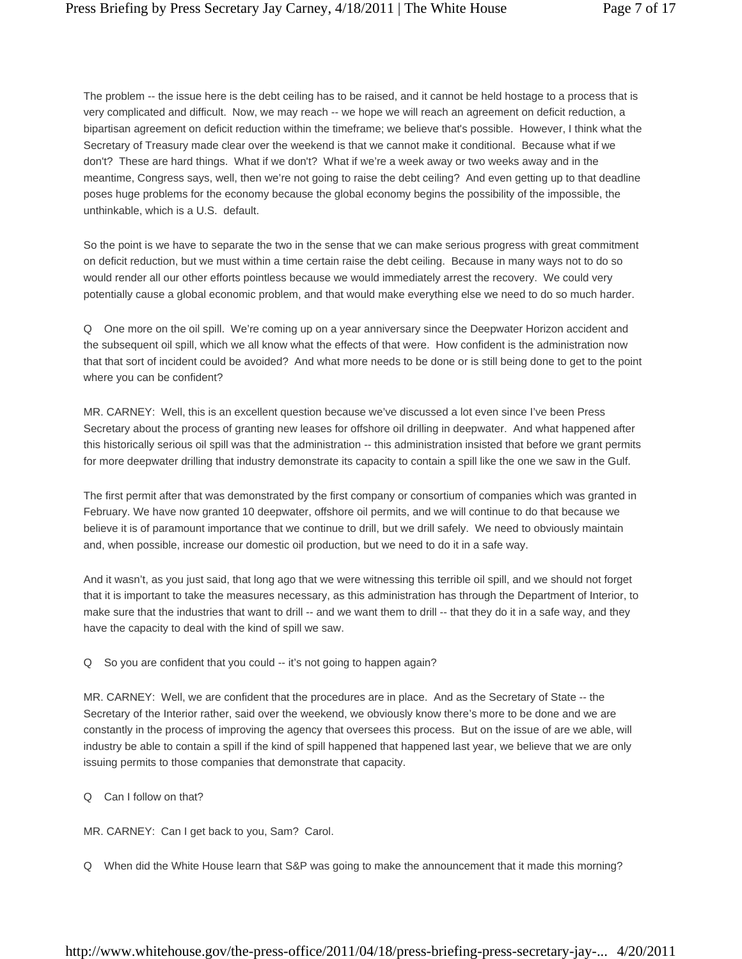The problem -- the issue here is the debt ceiling has to be raised, and it cannot be held hostage to a process that is very complicated and difficult. Now, we may reach -- we hope we will reach an agreement on deficit reduction, a bipartisan agreement on deficit reduction within the timeframe; we believe that's possible. However, I think what the Secretary of Treasury made clear over the weekend is that we cannot make it conditional. Because what if we don't? These are hard things. What if we don't? What if we're a week away or two weeks away and in the meantime, Congress says, well, then we're not going to raise the debt ceiling? And even getting up to that deadline poses huge problems for the economy because the global economy begins the possibility of the impossible, the unthinkable, which is a U.S. default.

So the point is we have to separate the two in the sense that we can make serious progress with great commitment on deficit reduction, but we must within a time certain raise the debt ceiling. Because in many ways not to do so would render all our other efforts pointless because we would immediately arrest the recovery. We could very potentially cause a global economic problem, and that would make everything else we need to do so much harder.

Q One more on the oil spill. We're coming up on a year anniversary since the Deepwater Horizon accident and the subsequent oil spill, which we all know what the effects of that were. How confident is the administration now that that sort of incident could be avoided? And what more needs to be done or is still being done to get to the point where you can be confident?

MR. CARNEY: Well, this is an excellent question because we've discussed a lot even since I've been Press Secretary about the process of granting new leases for offshore oil drilling in deepwater. And what happened after this historically serious oil spill was that the administration -- this administration insisted that before we grant permits for more deepwater drilling that industry demonstrate its capacity to contain a spill like the one we saw in the Gulf.

The first permit after that was demonstrated by the first company or consortium of companies which was granted in February. We have now granted 10 deepwater, offshore oil permits, and we will continue to do that because we believe it is of paramount importance that we continue to drill, but we drill safely. We need to obviously maintain and, when possible, increase our domestic oil production, but we need to do it in a safe way.

And it wasn't, as you just said, that long ago that we were witnessing this terrible oil spill, and we should not forget that it is important to take the measures necessary, as this administration has through the Department of Interior, to make sure that the industries that want to drill -- and we want them to drill -- that they do it in a safe way, and they have the capacity to deal with the kind of spill we saw.

Q So you are confident that you could -- it's not going to happen again?

MR. CARNEY: Well, we are confident that the procedures are in place. And as the Secretary of State -- the Secretary of the Interior rather, said over the weekend, we obviously know there's more to be done and we are constantly in the process of improving the agency that oversees this process. But on the issue of are we able, will industry be able to contain a spill if the kind of spill happened that happened last year, we believe that we are only issuing permits to those companies that demonstrate that capacity.

Q Can I follow on that?

MR. CARNEY: Can I get back to you, Sam? Carol.

Q When did the White House learn that S&P was going to make the announcement that it made this morning?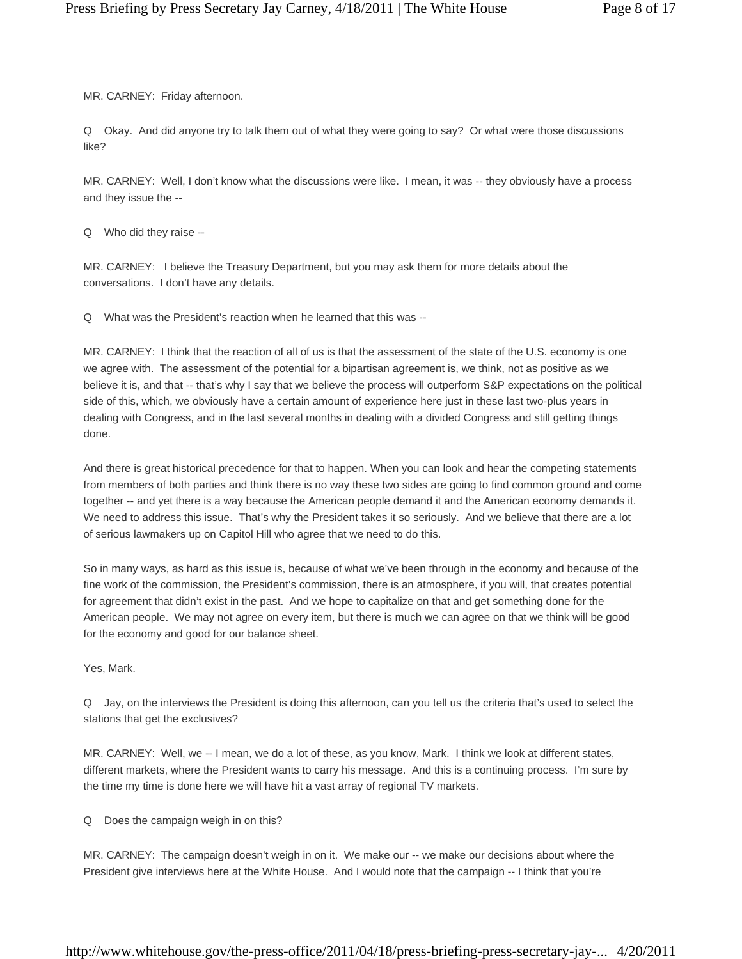MR. CARNEY: Friday afternoon.

Q Okay. And did anyone try to talk them out of what they were going to say? Or what were those discussions like?

MR. CARNEY: Well, I don't know what the discussions were like. I mean, it was -- they obviously have a process and they issue the --

Q Who did they raise --

MR. CARNEY: I believe the Treasury Department, but you may ask them for more details about the conversations. I don't have any details.

Q What was the President's reaction when he learned that this was --

MR. CARNEY: I think that the reaction of all of us is that the assessment of the state of the U.S. economy is one we agree with. The assessment of the potential for a bipartisan agreement is, we think, not as positive as we believe it is, and that -- that's why I say that we believe the process will outperform S&P expectations on the political side of this, which, we obviously have a certain amount of experience here just in these last two-plus years in dealing with Congress, and in the last several months in dealing with a divided Congress and still getting things done.

And there is great historical precedence for that to happen. When you can look and hear the competing statements from members of both parties and think there is no way these two sides are going to find common ground and come together -- and yet there is a way because the American people demand it and the American economy demands it. We need to address this issue. That's why the President takes it so seriously. And we believe that there are a lot of serious lawmakers up on Capitol Hill who agree that we need to do this.

So in many ways, as hard as this issue is, because of what we've been through in the economy and because of the fine work of the commission, the President's commission, there is an atmosphere, if you will, that creates potential for agreement that didn't exist in the past. And we hope to capitalize on that and get something done for the American people. We may not agree on every item, but there is much we can agree on that we think will be good for the economy and good for our balance sheet.

Yes, Mark.

Q Jay, on the interviews the President is doing this afternoon, can you tell us the criteria that's used to select the stations that get the exclusives?

MR. CARNEY: Well, we -- I mean, we do a lot of these, as you know, Mark. I think we look at different states, different markets, where the President wants to carry his message. And this is a continuing process. I'm sure by the time my time is done here we will have hit a vast array of regional TV markets.

Q Does the campaign weigh in on this?

MR. CARNEY: The campaign doesn't weigh in on it. We make our -- we make our decisions about where the President give interviews here at the White House. And I would note that the campaign -- I think that you're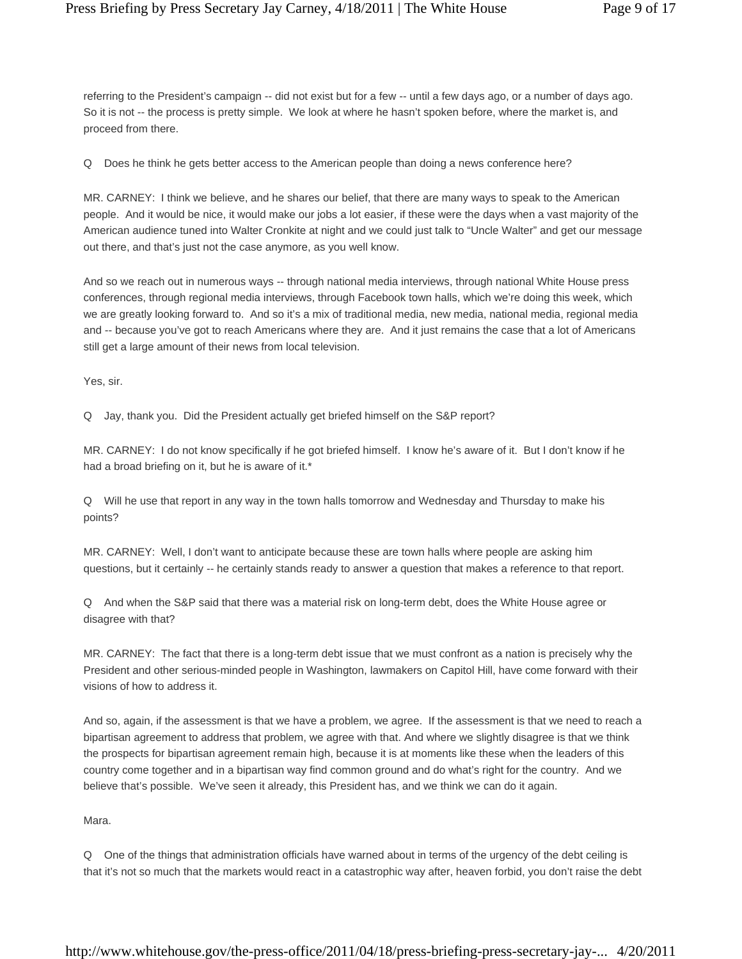referring to the President's campaign -- did not exist but for a few -- until a few days ago, or a number of days ago. So it is not -- the process is pretty simple. We look at where he hasn't spoken before, where the market is, and proceed from there.

Q Does he think he gets better access to the American people than doing a news conference here?

MR. CARNEY: I think we believe, and he shares our belief, that there are many ways to speak to the American people. And it would be nice, it would make our jobs a lot easier, if these were the days when a vast majority of the American audience tuned into Walter Cronkite at night and we could just talk to "Uncle Walter" and get our message out there, and that's just not the case anymore, as you well know.

And so we reach out in numerous ways -- through national media interviews, through national White House press conferences, through regional media interviews, through Facebook town halls, which we're doing this week, which we are greatly looking forward to. And so it's a mix of traditional media, new media, national media, regional media and -- because you've got to reach Americans where they are. And it just remains the case that a lot of Americans still get a large amount of their news from local television.

Yes, sir.

Q Jay, thank you. Did the President actually get briefed himself on the S&P report?

MR. CARNEY: I do not know specifically if he got briefed himself. I know he's aware of it. But I don't know if he had a broad briefing on it, but he is aware of it.\*

Q Will he use that report in any way in the town halls tomorrow and Wednesday and Thursday to make his points?

MR. CARNEY: Well, I don't want to anticipate because these are town halls where people are asking him questions, but it certainly -- he certainly stands ready to answer a question that makes a reference to that report.

Q And when the S&P said that there was a material risk on long-term debt, does the White House agree or disagree with that?

MR. CARNEY: The fact that there is a long-term debt issue that we must confront as a nation is precisely why the President and other serious-minded people in Washington, lawmakers on Capitol Hill, have come forward with their visions of how to address it.

And so, again, if the assessment is that we have a problem, we agree. If the assessment is that we need to reach a bipartisan agreement to address that problem, we agree with that. And where we slightly disagree is that we think the prospects for bipartisan agreement remain high, because it is at moments like these when the leaders of this country come together and in a bipartisan way find common ground and do what's right for the country. And we believe that's possible. We've seen it already, this President has, and we think we can do it again.

Mara.

Q One of the things that administration officials have warned about in terms of the urgency of the debt ceiling is that it's not so much that the markets would react in a catastrophic way after, heaven forbid, you don't raise the debt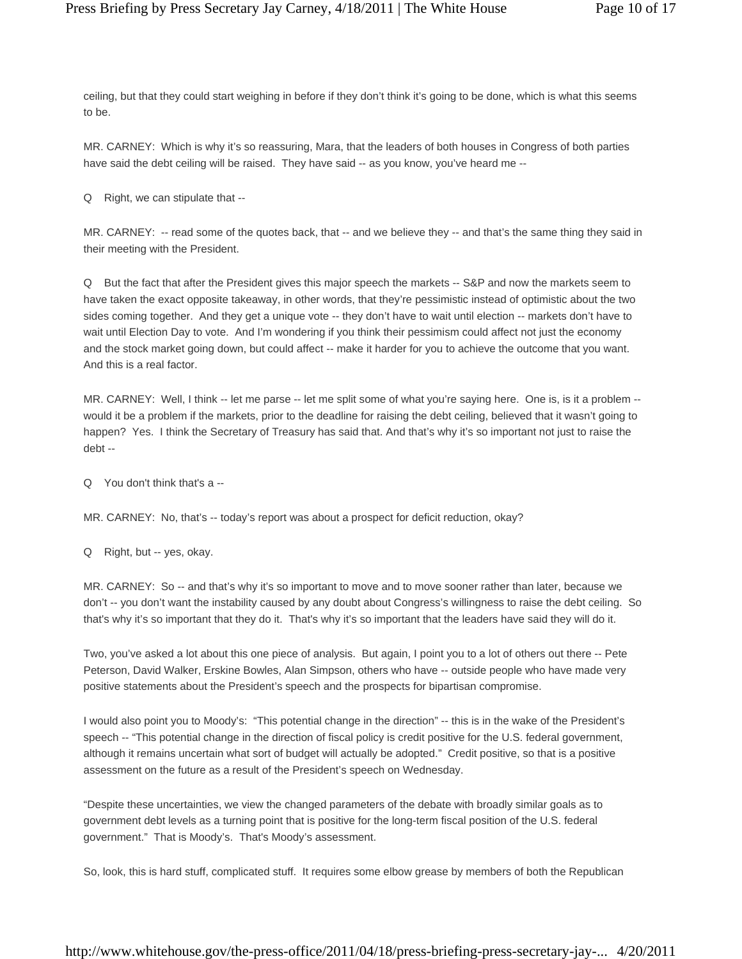ceiling, but that they could start weighing in before if they don't think it's going to be done, which is what this seems to be.

MR. CARNEY: Which is why it's so reassuring, Mara, that the leaders of both houses in Congress of both parties have said the debt ceiling will be raised. They have said -- as you know, you've heard me --

Q Right, we can stipulate that --

MR. CARNEY: -- read some of the quotes back, that -- and we believe they -- and that's the same thing they said in their meeting with the President.

Q But the fact that after the President gives this major speech the markets -- S&P and now the markets seem to have taken the exact opposite takeaway, in other words, that they're pessimistic instead of optimistic about the two sides coming together. And they get a unique vote -- they don't have to wait until election -- markets don't have to wait until Election Day to vote. And I'm wondering if you think their pessimism could affect not just the economy and the stock market going down, but could affect -- make it harder for you to achieve the outcome that you want. And this is a real factor.

MR. CARNEY: Well, I think -- let me parse -- let me split some of what you're saying here. One is, is it a problem -would it be a problem if the markets, prior to the deadline for raising the debt ceiling, believed that it wasn't going to happen? Yes. I think the Secretary of Treasury has said that. And that's why it's so important not just to raise the debt --

Q You don't think that's a --

MR. CARNEY: No, that's -- today's report was about a prospect for deficit reduction, okay?

Q Right, but -- yes, okay.

MR. CARNEY: So -- and that's why it's so important to move and to move sooner rather than later, because we don't -- you don't want the instability caused by any doubt about Congress's willingness to raise the debt ceiling. So that's why it's so important that they do it. That's why it's so important that the leaders have said they will do it.

Two, you've asked a lot about this one piece of analysis. But again, I point you to a lot of others out there -- Pete Peterson, David Walker, Erskine Bowles, Alan Simpson, others who have -- outside people who have made very positive statements about the President's speech and the prospects for bipartisan compromise.

I would also point you to Moody's: "This potential change in the direction" -- this is in the wake of the President's speech -- "This potential change in the direction of fiscal policy is credit positive for the U.S. federal government, although it remains uncertain what sort of budget will actually be adopted." Credit positive, so that is a positive assessment on the future as a result of the President's speech on Wednesday.

"Despite these uncertainties, we view the changed parameters of the debate with broadly similar goals as to government debt levels as a turning point that is positive for the long-term fiscal position of the U.S. federal government." That is Moody's. That's Moody's assessment.

So, look, this is hard stuff, complicated stuff. It requires some elbow grease by members of both the Republican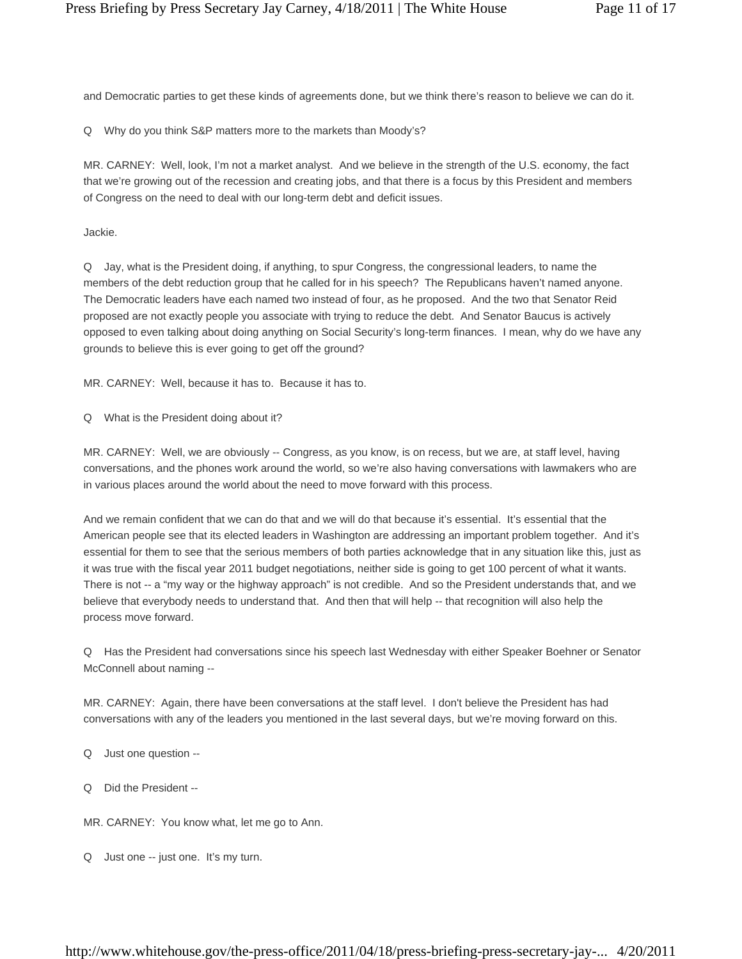and Democratic parties to get these kinds of agreements done, but we think there's reason to believe we can do it.

Q Why do you think S&P matters more to the markets than Moody's?

MR. CARNEY: Well, look, I'm not a market analyst. And we believe in the strength of the U.S. economy, the fact that we're growing out of the recession and creating jobs, and that there is a focus by this President and members of Congress on the need to deal with our long-term debt and deficit issues.

Jackie.

Q Jay, what is the President doing, if anything, to spur Congress, the congressional leaders, to name the members of the debt reduction group that he called for in his speech? The Republicans haven't named anyone. The Democratic leaders have each named two instead of four, as he proposed. And the two that Senator Reid proposed are not exactly people you associate with trying to reduce the debt. And Senator Baucus is actively opposed to even talking about doing anything on Social Security's long-term finances. I mean, why do we have any grounds to believe this is ever going to get off the ground?

MR. CARNEY: Well, because it has to. Because it has to.

Q What is the President doing about it?

MR. CARNEY: Well, we are obviously -- Congress, as you know, is on recess, but we are, at staff level, having conversations, and the phones work around the world, so we're also having conversations with lawmakers who are in various places around the world about the need to move forward with this process.

And we remain confident that we can do that and we will do that because it's essential. It's essential that the American people see that its elected leaders in Washington are addressing an important problem together. And it's essential for them to see that the serious members of both parties acknowledge that in any situation like this, just as it was true with the fiscal year 2011 budget negotiations, neither side is going to get 100 percent of what it wants. There is not -- a "my way or the highway approach" is not credible. And so the President understands that, and we believe that everybody needs to understand that. And then that will help -- that recognition will also help the process move forward.

Q Has the President had conversations since his speech last Wednesday with either Speaker Boehner or Senator McConnell about naming --

MR. CARNEY: Again, there have been conversations at the staff level. I don't believe the President has had conversations with any of the leaders you mentioned in the last several days, but we're moving forward on this.

Q Just one question --

Q Did the President --

MR. CARNEY: You know what, let me go to Ann.

Q Just one -- just one. It's my turn.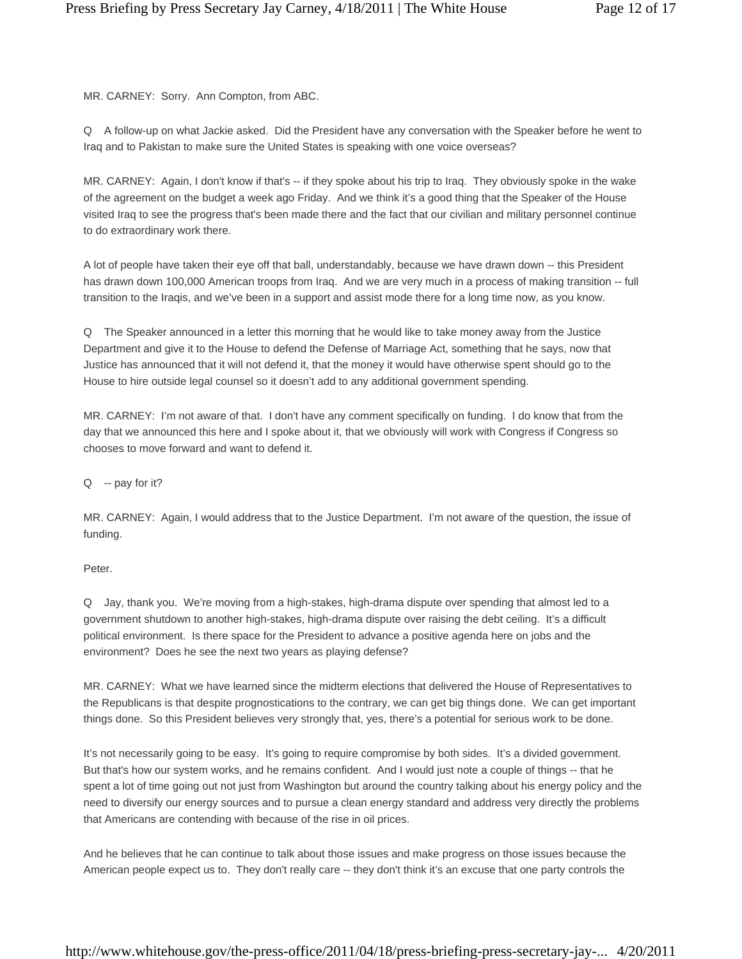MR. CARNEY: Sorry. Ann Compton, from ABC.

Q A follow-up on what Jackie asked. Did the President have any conversation with the Speaker before he went to Iraq and to Pakistan to make sure the United States is speaking with one voice overseas?

MR. CARNEY: Again, I don't know if that's -- if they spoke about his trip to Iraq. They obviously spoke in the wake of the agreement on the budget a week ago Friday. And we think it's a good thing that the Speaker of the House visited Iraq to see the progress that's been made there and the fact that our civilian and military personnel continue to do extraordinary work there.

A lot of people have taken their eye off that ball, understandably, because we have drawn down -- this President has drawn down 100,000 American troops from Iraq. And we are very much in a process of making transition -- full transition to the Iraqis, and we've been in a support and assist mode there for a long time now, as you know.

Q The Speaker announced in a letter this morning that he would like to take money away from the Justice Department and give it to the House to defend the Defense of Marriage Act, something that he says, now that Justice has announced that it will not defend it, that the money it would have otherwise spent should go to the House to hire outside legal counsel so it doesn't add to any additional government spending.

MR. CARNEY: I'm not aware of that. I don't have any comment specifically on funding. I do know that from the day that we announced this here and I spoke about it, that we obviously will work with Congress if Congress so chooses to move forward and want to defend it.

Q -- pay for it?

MR. CARNEY: Again, I would address that to the Justice Department. I'm not aware of the question, the issue of funding.

Peter.

Q Jay, thank you. We're moving from a high-stakes, high-drama dispute over spending that almost led to a government shutdown to another high-stakes, high-drama dispute over raising the debt ceiling. It's a difficult political environment. Is there space for the President to advance a positive agenda here on jobs and the environment? Does he see the next two years as playing defense?

MR. CARNEY: What we have learned since the midterm elections that delivered the House of Representatives to the Republicans is that despite prognostications to the contrary, we can get big things done. We can get important things done. So this President believes very strongly that, yes, there's a potential for serious work to be done.

It's not necessarily going to be easy. It's going to require compromise by both sides. It's a divided government. But that's how our system works, and he remains confident. And I would just note a couple of things -- that he spent a lot of time going out not just from Washington but around the country talking about his energy policy and the need to diversify our energy sources and to pursue a clean energy standard and address very directly the problems that Americans are contending with because of the rise in oil prices.

And he believes that he can continue to talk about those issues and make progress on those issues because the American people expect us to. They don't really care -- they don't think it's an excuse that one party controls the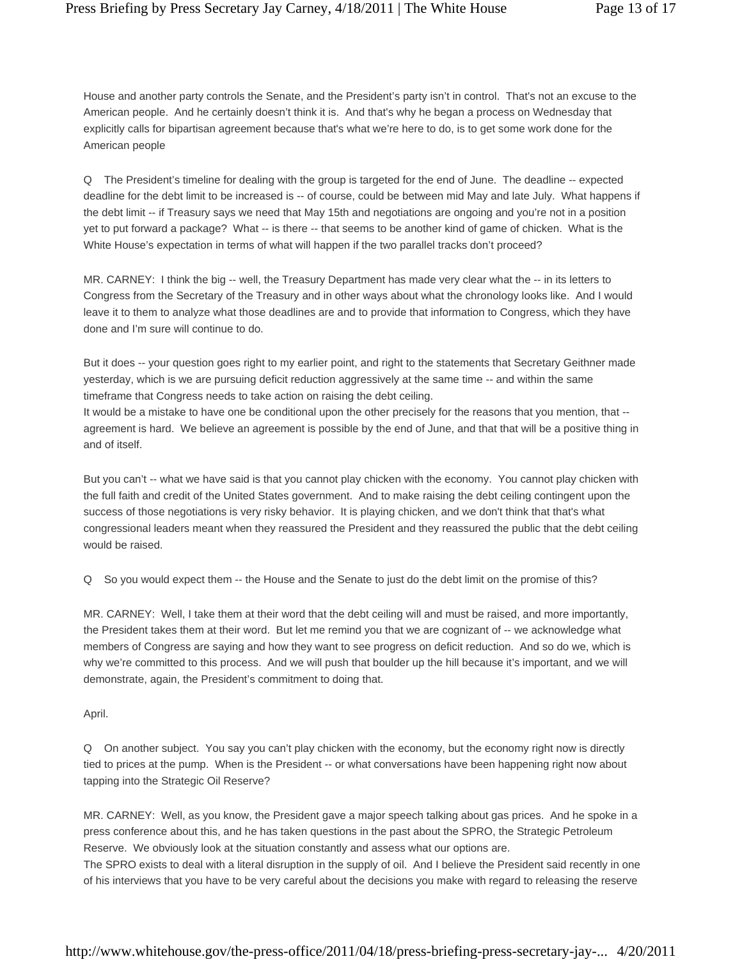House and another party controls the Senate, and the President's party isn't in control. That's not an excuse to the American people. And he certainly doesn't think it is. And that's why he began a process on Wednesday that explicitly calls for bipartisan agreement because that's what we're here to do, is to get some work done for the American people

Q The President's timeline for dealing with the group is targeted for the end of June. The deadline -- expected deadline for the debt limit to be increased is -- of course, could be between mid May and late July. What happens if the debt limit -- if Treasury says we need that May 15th and negotiations are ongoing and you're not in a position yet to put forward a package? What -- is there -- that seems to be another kind of game of chicken. What is the White House's expectation in terms of what will happen if the two parallel tracks don't proceed?

MR. CARNEY: I think the big -- well, the Treasury Department has made very clear what the -- in its letters to Congress from the Secretary of the Treasury and in other ways about what the chronology looks like. And I would leave it to them to analyze what those deadlines are and to provide that information to Congress, which they have done and I'm sure will continue to do.

But it does -- your question goes right to my earlier point, and right to the statements that Secretary Geithner made yesterday, which is we are pursuing deficit reduction aggressively at the same time -- and within the same timeframe that Congress needs to take action on raising the debt ceiling.

It would be a mistake to have one be conditional upon the other precisely for the reasons that you mention, that -agreement is hard. We believe an agreement is possible by the end of June, and that that will be a positive thing in and of itself.

But you can't -- what we have said is that you cannot play chicken with the economy. You cannot play chicken with the full faith and credit of the United States government. And to make raising the debt ceiling contingent upon the success of those negotiations is very risky behavior. It is playing chicken, and we don't think that that's what congressional leaders meant when they reassured the President and they reassured the public that the debt ceiling would be raised.

Q So you would expect them -- the House and the Senate to just do the debt limit on the promise of this?

MR. CARNEY: Well, I take them at their word that the debt ceiling will and must be raised, and more importantly, the President takes them at their word. But let me remind you that we are cognizant of -- we acknowledge what members of Congress are saying and how they want to see progress on deficit reduction. And so do we, which is why we're committed to this process. And we will push that boulder up the hill because it's important, and we will demonstrate, again, the President's commitment to doing that.

## April.

Q On another subject. You say you can't play chicken with the economy, but the economy right now is directly tied to prices at the pump. When is the President -- or what conversations have been happening right now about tapping into the Strategic Oil Reserve?

MR. CARNEY: Well, as you know, the President gave a major speech talking about gas prices. And he spoke in a press conference about this, and he has taken questions in the past about the SPRO, the Strategic Petroleum Reserve. We obviously look at the situation constantly and assess what our options are.

The SPRO exists to deal with a literal disruption in the supply of oil. And I believe the President said recently in one of his interviews that you have to be very careful about the decisions you make with regard to releasing the reserve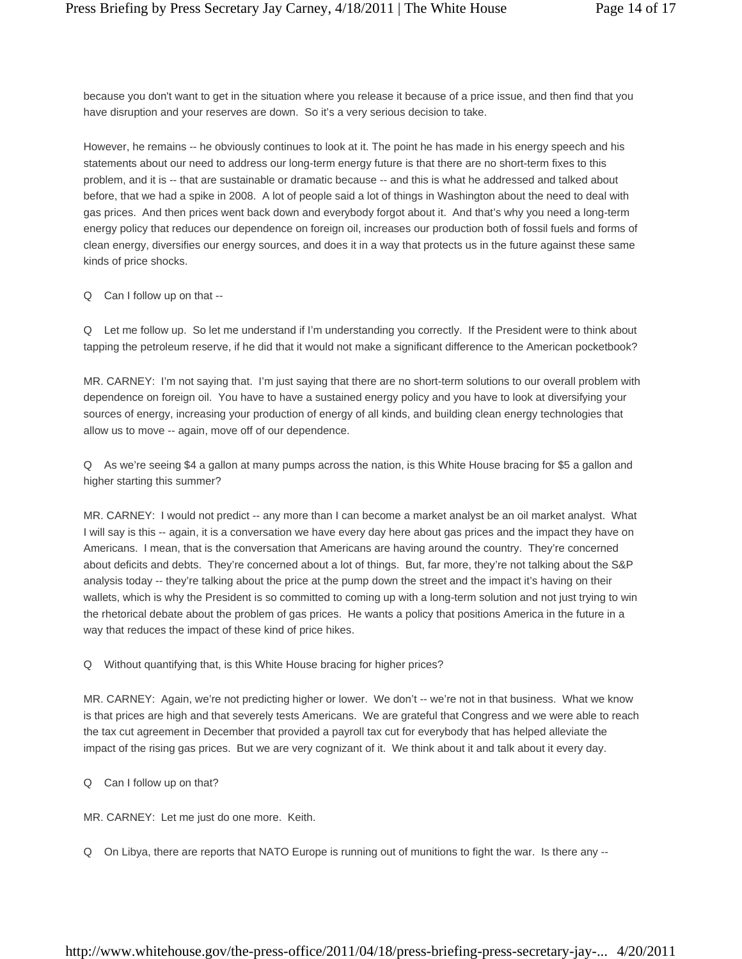because you don't want to get in the situation where you release it because of a price issue, and then find that you have disruption and your reserves are down. So it's a very serious decision to take.

However, he remains -- he obviously continues to look at it. The point he has made in his energy speech and his statements about our need to address our long-term energy future is that there are no short-term fixes to this problem, and it is -- that are sustainable or dramatic because -- and this is what he addressed and talked about before, that we had a spike in 2008. A lot of people said a lot of things in Washington about the need to deal with gas prices. And then prices went back down and everybody forgot about it. And that's why you need a long-term energy policy that reduces our dependence on foreign oil, increases our production both of fossil fuels and forms of clean energy, diversifies our energy sources, and does it in a way that protects us in the future against these same kinds of price shocks.

Q Can I follow up on that --

Q Let me follow up. So let me understand if I'm understanding you correctly. If the President were to think about tapping the petroleum reserve, if he did that it would not make a significant difference to the American pocketbook?

MR. CARNEY: I'm not saying that. I'm just saying that there are no short-term solutions to our overall problem with dependence on foreign oil. You have to have a sustained energy policy and you have to look at diversifying your sources of energy, increasing your production of energy of all kinds, and building clean energy technologies that allow us to move -- again, move off of our dependence.

Q As we're seeing \$4 a gallon at many pumps across the nation, is this White House bracing for \$5 a gallon and higher starting this summer?

MR. CARNEY: I would not predict -- any more than I can become a market analyst be an oil market analyst. What I will say is this -- again, it is a conversation we have every day here about gas prices and the impact they have on Americans. I mean, that is the conversation that Americans are having around the country. They're concerned about deficits and debts. They're concerned about a lot of things. But, far more, they're not talking about the S&P analysis today -- they're talking about the price at the pump down the street and the impact it's having on their wallets, which is why the President is so committed to coming up with a long-term solution and not just trying to win the rhetorical debate about the problem of gas prices. He wants a policy that positions America in the future in a way that reduces the impact of these kind of price hikes.

Q Without quantifying that, is this White House bracing for higher prices?

MR. CARNEY: Again, we're not predicting higher or lower. We don't -- we're not in that business. What we know is that prices are high and that severely tests Americans. We are grateful that Congress and we were able to reach the tax cut agreement in December that provided a payroll tax cut for everybody that has helped alleviate the impact of the rising gas prices. But we are very cognizant of it. We think about it and talk about it every day.

Q Can I follow up on that?

MR. CARNEY: Let me just do one more. Keith.

Q On Libya, there are reports that NATO Europe is running out of munitions to fight the war. Is there any --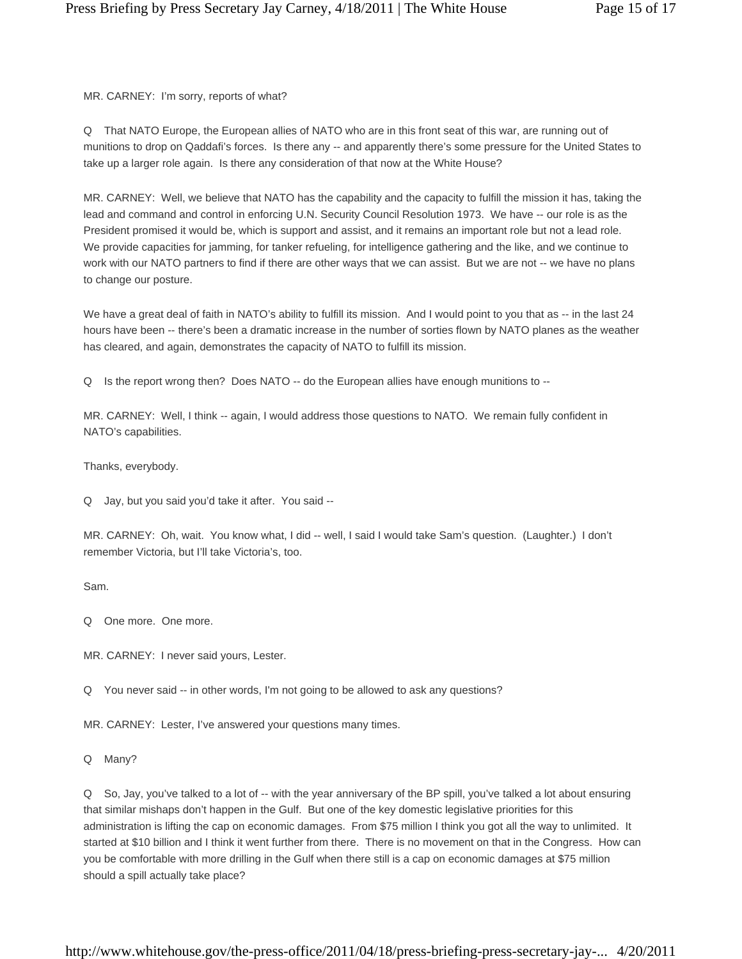MR. CARNEY: I'm sorry, reports of what?

Q That NATO Europe, the European allies of NATO who are in this front seat of this war, are running out of munitions to drop on Qaddafi's forces. Is there any -- and apparently there's some pressure for the United States to take up a larger role again. Is there any consideration of that now at the White House?

MR. CARNEY: Well, we believe that NATO has the capability and the capacity to fulfill the mission it has, taking the lead and command and control in enforcing U.N. Security Council Resolution 1973. We have -- our role is as the President promised it would be, which is support and assist, and it remains an important role but not a lead role. We provide capacities for jamming, for tanker refueling, for intelligence gathering and the like, and we continue to work with our NATO partners to find if there are other ways that we can assist. But we are not -- we have no plans to change our posture.

We have a great deal of faith in NATO's ability to fulfill its mission. And I would point to you that as -- in the last 24 hours have been -- there's been a dramatic increase in the number of sorties flown by NATO planes as the weather has cleared, and again, demonstrates the capacity of NATO to fulfill its mission.

Q Is the report wrong then? Does NATO -- do the European allies have enough munitions to --

MR. CARNEY: Well, I think -- again, I would address those questions to NATO. We remain fully confident in NATO's capabilities.

Thanks, everybody.

Q Jay, but you said you'd take it after. You said --

MR. CARNEY: Oh, wait. You know what, I did -- well, I said I would take Sam's question. (Laughter.) I don't remember Victoria, but I'll take Victoria's, too.

Sam.

Q One more. One more.

MR. CARNEY: I never said yours, Lester.

Q You never said -- in other words, I'm not going to be allowed to ask any questions?

MR. CARNEY: Lester, I've answered your questions many times.

Q Many?

Q So, Jay, you've talked to a lot of -- with the year anniversary of the BP spill, you've talked a lot about ensuring that similar mishaps don't happen in the Gulf. But one of the key domestic legislative priorities for this administration is lifting the cap on economic damages. From \$75 million I think you got all the way to unlimited. It started at \$10 billion and I think it went further from there. There is no movement on that in the Congress. How can you be comfortable with more drilling in the Gulf when there still is a cap on economic damages at \$75 million should a spill actually take place?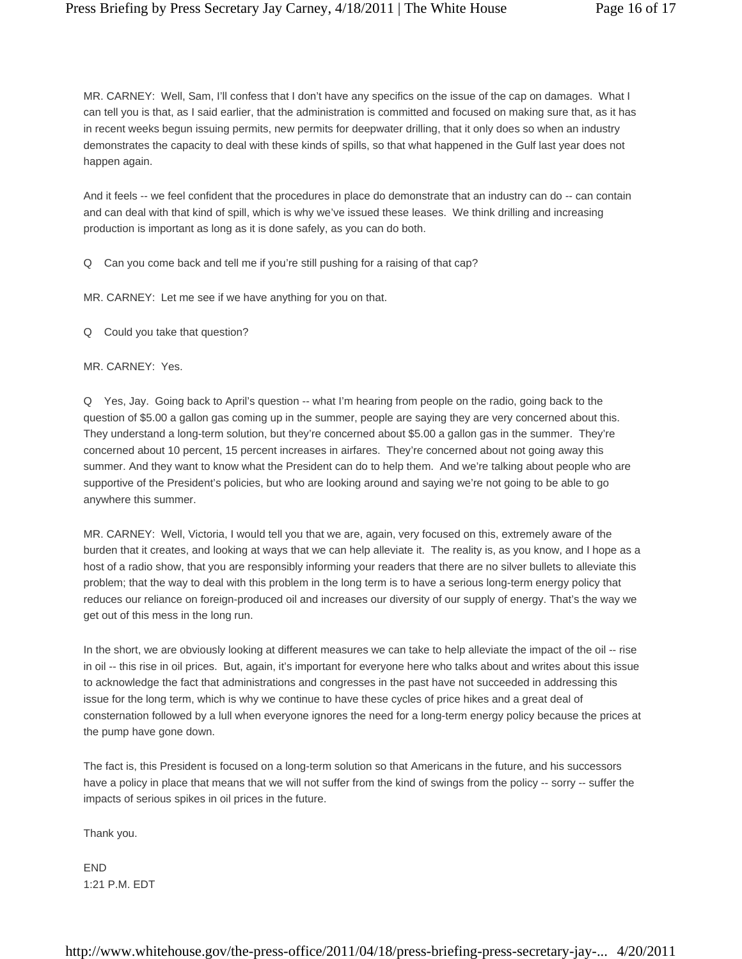MR. CARNEY: Well, Sam, I'll confess that I don't have any specifics on the issue of the cap on damages. What I can tell you is that, as I said earlier, that the administration is committed and focused on making sure that, as it has in recent weeks begun issuing permits, new permits for deepwater drilling, that it only does so when an industry demonstrates the capacity to deal with these kinds of spills, so that what happened in the Gulf last year does not happen again.

And it feels -- we feel confident that the procedures in place do demonstrate that an industry can do -- can contain and can deal with that kind of spill, which is why we've issued these leases. We think drilling and increasing production is important as long as it is done safely, as you can do both.

Q Can you come back and tell me if you're still pushing for a raising of that cap?

MR. CARNEY: Let me see if we have anything for you on that.

Q Could you take that question?

MR. CARNEY: Yes.

Q Yes, Jay. Going back to April's question -- what I'm hearing from people on the radio, going back to the question of \$5.00 a gallon gas coming up in the summer, people are saying they are very concerned about this. They understand a long-term solution, but they're concerned about \$5.00 a gallon gas in the summer. They're concerned about 10 percent, 15 percent increases in airfares. They're concerned about not going away this summer. And they want to know what the President can do to help them. And we're talking about people who are supportive of the President's policies, but who are looking around and saying we're not going to be able to go anywhere this summer.

MR. CARNEY: Well, Victoria, I would tell you that we are, again, very focused on this, extremely aware of the burden that it creates, and looking at ways that we can help alleviate it. The reality is, as you know, and I hope as a host of a radio show, that you are responsibly informing your readers that there are no silver bullets to alleviate this problem; that the way to deal with this problem in the long term is to have a serious long-term energy policy that reduces our reliance on foreign-produced oil and increases our diversity of our supply of energy. That's the way we get out of this mess in the long run.

In the short, we are obviously looking at different measures we can take to help alleviate the impact of the oil -- rise in oil -- this rise in oil prices. But, again, it's important for everyone here who talks about and writes about this issue to acknowledge the fact that administrations and congresses in the past have not succeeded in addressing this issue for the long term, which is why we continue to have these cycles of price hikes and a great deal of consternation followed by a lull when everyone ignores the need for a long-term energy policy because the prices at the pump have gone down.

The fact is, this President is focused on a long-term solution so that Americans in the future, and his successors have a policy in place that means that we will not suffer from the kind of swings from the policy -- sorry -- suffer the impacts of serious spikes in oil prices in the future.

Thank you.

**FND** 1:21 P.M. EDT